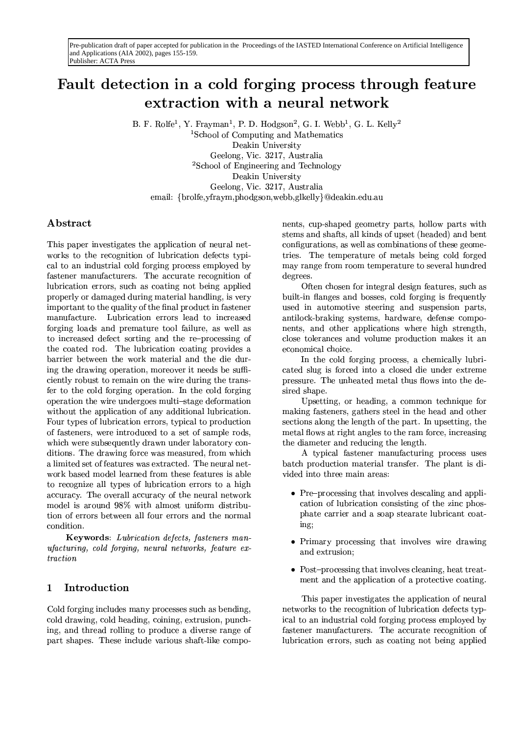# Fault detection in a cold forging process through feature extraction with a neural network

B. F. Rolfe<sup>1</sup>, Y. Frayman<sup>1</sup>, P. D. Hodgson<sup>2</sup>, G. I. Webb<sup>1</sup>, G. L. Kelly<sup>2</sup>

<sup>1</sup>School of Computing and Mathematics Deakin University Geelong, Vic. 3217, Australia <sup>2</sup>School of Engineering and Technology Deakin University Geelong, Vic. 3217, Australia email: {brolfe,yfraym,phodgson,webb,glkelly}@deakin.edu.au

# Abstract

This paper investigates the application of neural networks to the recognition of lubrication defects typical to an industrial cold forging process employed by fastener manufacturers. The accurate recognition of lubrication errors, such as coating not being applied properly or damaged during material handling, is very important to the quality of the final product in fastener manufacture. Lubrication errors lead to increased forging loads and premature tool failure, as well as to increased defect sorting and the re-processing of the coated rod. The lubrication coating provides a barrier between the work material and the die during the drawing operation, moreover it needs be sufficiently robust to remain on the wire during the transfer to the cold forging operation. In the cold forging operation the wire undergoes multi-stage deformation without the application of any additional lubrication. Four types of lubrication errors, typical to production of fasteners, were introduced to a set of sample rods, which were subsequently drawn under laboratory conditions. The drawing force was measured, from which a limited set of features was extracted. The neural network based model learned from these features is able to recognize all types of lubrication errors to a high accuracy. The overall accuracy of the neural network model is around 98% with almost uniform distribution of errors between all four errors and the normal condition.

Keywords: Lubrication defects, fasteners man*ufacturing, cold forging, neural networks, feature ex* $traction$ 

## $\mathbf{1}$ Introduction

Cold forging includes many processes such as bending, cold drawing, cold heading, coining, extrusion, punching, and thread rolling to produce a diverse range of part shapes. These include various shaft-like components, cup-shaped geometry parts, hollow parts with stems and shafts, all kinds of upset (headed) and bent configurations, as well as combinations of these geometries. The temperature of metals being cold forged may range from room temperature to several hundred degrees.

Often chosen for integral design features, such as built-in flanges and bosses, cold forging is frequently used in automotive steering and suspension parts, antilock-braking systems, hardware, defense components, and other applications where high strength, close tolerances and volume production makes it an economical choice.

In the cold forging process, a chemically lubricated slug is forced into a closed die under extreme pressure. The unheated metal thus flows into the desired shape.

Upsetting, or heading, a common technique for making fasteners, gathers steel in the head and other sections along the length of the part. In upsetting, the metal flows at right angles to the ram force, increasing the diameter and reducing the length.

A typical fastener manufacturing process uses batch production material transfer. The plant is divided into three main areas:

- Pre-processing that involves descaling and application of lubrication consisting of the zinc phosphate carrier and a soap stearate lubricant coating;
- Primary processing that involves wire drawing and extrusion:
- $\bullet$  Post-processing that involves cleaning, heat treatment and the application of a protective coating.

This paper investigates the application of neural networks to the recognition of lubrication defects typical to an industrial cold forging process employed by fastener manufacturers. The accurate recognition of lubrication errors, such as coating not being applied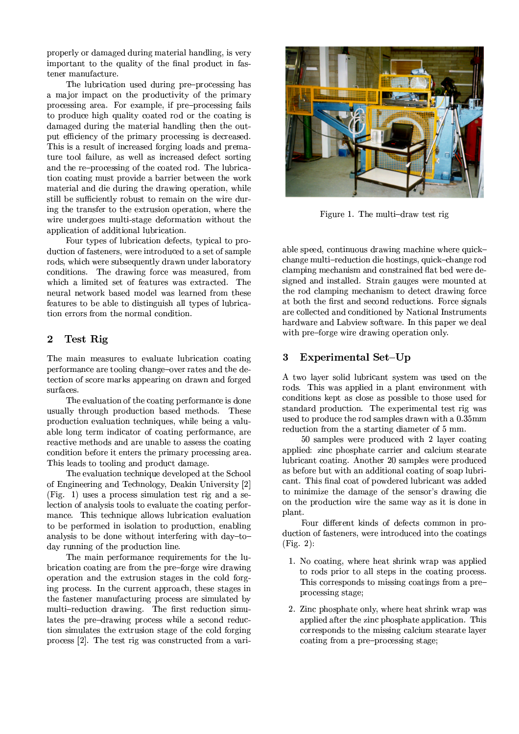properly or damaged during material handling, is very important to the quality of the final product in fastener manufacture.

The lubrication used during pre-processing has a major impact on the productivity of the primary processing area. For example, if pre-processing fails to produce high quality coated rod or the coating is damaged during the material handling then the output efficiency of the primary processing is decreased. This is a result of increased forging loads and premature tool failure, as well as increased defect sorting and the re-processing of the coated rod. The lubrication coating must provide a barrier between the work material and die during the drawing operation, while still be sufficiently robust to remain on the wire during the transfer to the extrusion operation, where the wire undergoes multi-stage deformation without the application of additional lubrication.

Four types of lubrication defects, typical to production of fasteners, were introduced to a set of sample rods, which were subsequently drawn under laboratory conditions. The drawing force was measured, from which a limited set of features was extracted. The neural network based model was learned from these features to be able to distinguish all types of lubrication errors from the normal condition.

#### Test Rig  $\boldsymbol{2}$

The main measures to evaluate lubrication coating performance are tooling change-over rates and the detection of score marks appearing on drawn and forged surfaces.

The evaluation of the coating performance is done usually through production based methods. These production evaluation techniques, while being a valuable long term indicator of coating performance, are reactive methods and are unable to assess the coating condition before it enters the primary processing area. This leads to tooling and product damage.

The evaluation technique developed at the School of Engineering and Technology, Deakin University [2] (Fig. 1) uses a process simulation test rig and a selection of analysis tools to evaluate the coating performance. This technique allows lubrication evaluation to be performed in isolation to production, enabling analysis to be done without interfering with day-today running of the production line.

The main performance requirements for the lubrication coating are from the pre-forge wire drawing operation and the extrusion stages in the cold forging process. In the current approach, these stages in the fastener manufacturing process are simulated by multi-reduction drawing. The first reduction simulates the pre-drawing process while a second reduction simulates the extrusion stage of the cold forging process [2]. The test rig was constructed from a vari-



Figure 1. The multi-draw test rig

able speed, continuous drawing machine where quickchange multi-reduction die hostings, quick-change rod clamping mechanism and constrained flat bed were designed and installed. Strain gauges were mounted at the rod clamping mechanism to detect drawing force at both the first and second reductions. Force signals are collected and conditioned by National Instruments hardware and Labview software. In this paper we deal with pre-forge wire drawing operation only.

### Experimental Set-Up 3

A two layer solid lubricant system was used on the rods. This was applied in a plant environment with conditions kept as close as possible to those used for standard production. The experimental test rig was used to produce the rod samples drawn with a 0.35mm reduction from the a starting diameter of 5 mm.

50 samples were produced with 2 layer coating applied: zinc phosphate carrier and calcium stearate lubricant coating. Another 20 samples were produced as before but with an additional coating of soap lubricant. This final coat of powdered lubricant was added to minimize the damage of the sensor's drawing die on the production wire the same way as it is done in plant.

Four different kinds of defects common in production of fasteners, were introduced into the coatings  $(Fig. 2):$ 

- 1. No coating, where heat shrink wrap was applied to rods prior to all steps in the coating process. This corresponds to missing coatings from a preprocessing stage;
- 2. Zinc phosphate only, where heat shrink wrap was applied after the zinc phosphate application. This corresponds to the missing calcium stearate layer coating from a pre-processing stage;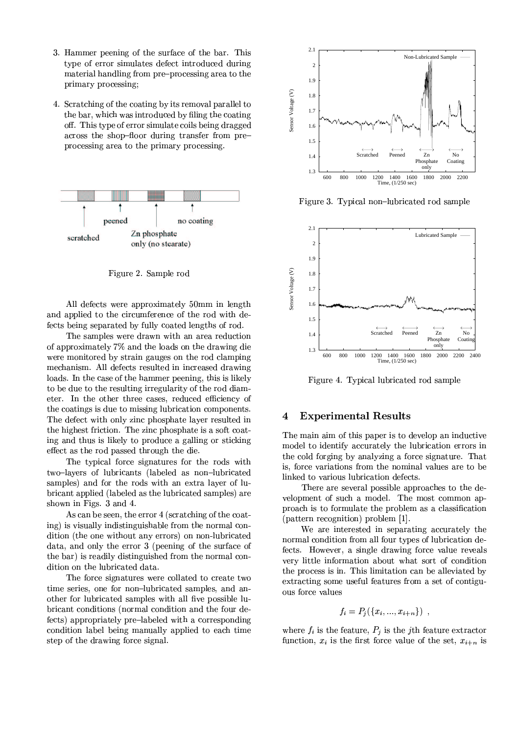- 3. Hammer peening of the surface of the bar. This type of error simulates defect introduced during material handling from pre-processing area to the primary processing;
- 4. Scratching of the coating by its removal parallel to the bar, which was introduced by filing the coating off. This type of error simulate coils being dragged across the shop-floor during transfer from preprocessing area to the primary processing.



Figure 2. Sample rod

All defects were approximately 50mm in length and applied to the circumference of the rod with defects being separated by fully coated lengths of rod.

The samples were drawn with an area reduction of approximately 7% and the loads on the drawing die were monitored by strain gauges on the rod clamping mechanism. All defects resulted in increased drawing loads. In the case of the hammer peening, this is likely to be due to the resulting irregularity of the rod diameter. In the other three cases, reduced efficiency of the coatings is due to missing lubrication components. The defect with only zinc phosphate layer resulted in the highest friction. The zinc phosphate is a soft coating and thus is likely to produce a galling or sticking effect as the rod passed through the die.

The typical force signatures for the rods with two-layers of lubricants (labeled as non-lubricated samples) and for the rods with an extra layer of lubricant applied (labeled as the lubricated samples) are shown in Figs. 3 and 4.

As can be seen, the error 4 (scratching of the coating) is visually indistinguishable from the normal condition (the one without any errors) on non-lubricated data, and only the error 3 (peening of the surface of the bar) is readily distinguished from the normal condition on the lubricated data.

The force signatures were collated to create two time series, one for non-lubricated samples, and another for lubricated samples with all five possible lubricant conditions (normal condition and the four defects) appropriately pre-labeled with a corresponding condition label being manually applied to each time step of the drawing force signal.



Figure 3. Typical non-lubricated rod sample



Figure 4. Typical lubricated rod sample

#### **Experimental Results**  $\overline{\mathbf{4}}$

The main aim of this paper is to develop an inductive model to identify accurately the lubrication errors in the cold forging by analyzing a force signature. That is, force variations from the nominal values are to be linked to various lubrication defects.

There are several possible approaches to the development of such a model. The most common approach is to formulate the problem as a classification (pattern recognition) problem [1].

We are interested in separating accurately the normal condition from all four types of lubrication defects. However, a single drawing force value reveals very little information about what sort of condition the process is in. This limitation can be alleviated by extracting some useful features from a set of contiguous force values

$$
f_i = P_j(\{x_i, ..., x_{i+n}\})
$$

where  $f_i$  is the feature,  $P_j$  is the j<sup>th</sup> feature extractor function,  $x_i$  is the first force value of the set,  $x_{i+n}$  is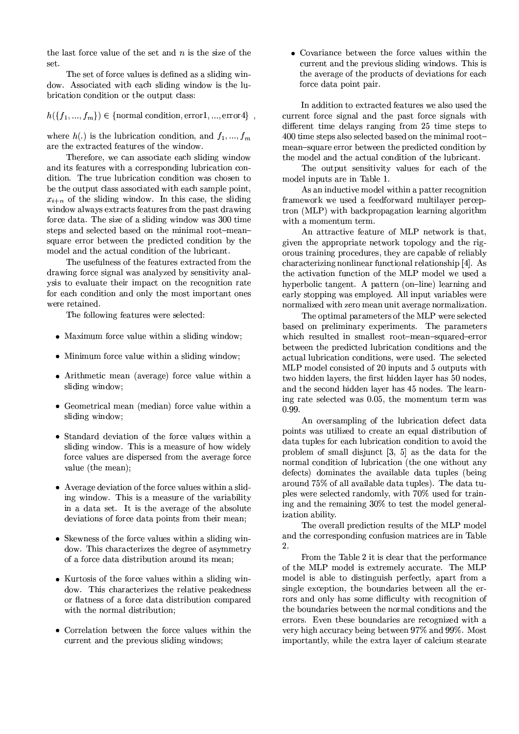the last force value of the set and  $n$  is the size of the set.

The set of force values is defined as a sliding window. Associated with each sliding window is the lubrication condition or the output class:

 $h({f_1,...,f_m}) \in {\text{normal condition}, error1, ..., error4}$ ,

where  $h(.)$  is the lubrication condition, and  $f_1, ..., f_m$ are the extracted features of the window.

Therefore, we can associate each sliding window and its features with a corresponding lubrication condition. The true lubrication condition was chosen to be the output class associated with each sample point.  $x_{i+n}$  of the sliding window. In this case, the sliding window always extracts features from the past drawing force data. The size of a sliding window was 300 time steps and selected based on the minimal root-meansquare error between the predicted condition by the model and the actual condition of the lubricant.

The usefulness of the features extracted from the drawing force signal was analyzed by sensitivity analysis to evaluate their impact on the recognition rate for each condition and only the most important ones were retained.

The following features were selected:

- Maximum force value within a sliding window;
- Minimum force value within a sliding window;
- Arithmetic mean (average) force value within a sliding window;
- Geometrical mean (median) force value within a sliding window;
- Standard deviation of the force values within a sliding window. This is a measure of how widely force values are dispersed from the average force value (the mean);
- Average deviation of the force values within a sliding window. This is a measure of the variability in a data set. It is the average of the absolute deviations of force data points from their mean;
- Skewness of the force values within a sliding window. This characterizes the degree of asymmetry of a force data distribution around its mean:
- Kurtosis of the force values within a sliding window. This characterizes the relative peakedness or flatness of a force data distribution compared with the normal distribution:
- Correlation between the force values within the current and the previous sliding windows;

• Covariance between the force values within the current and the previous sliding windows. This is the average of the products of deviations for each force data point pair.

In addition to extracted features we also used the current force signal and the past force signals with different time delays ranging from 25 time steps to 400 time steps also selected based on the minimal rootmean-square error between the predicted condition by the model and the actual condition of the lubricant.

The output sensitivity values for each of the model inputs are in Table 1.

As an inductive model within a patter recognition framework we used a feedforward multilayer perceptron (MLP) with backpropagation learning algorithm with a momentum term.

An attractive feature of MLP network is that, given the appropriate network topology and the rigorous training procedures, they are capable of reliably characterizing nonlinear functional relationship [4]. As the activation function of the MLP model we used a hyperbolic tangent. A pattern (on-line) learning and early stopping was employed. All input variables were normalized with zero mean unit average normalization.

The optimal parameters of the MLP were selected based on preliminary experiments. The parameters which resulted in smallest root-mean-squared-error between the predicted lubrication conditions and the actual lubrication conditions, were used. The selected MLP model consisted of 20 inputs and 5 outputs with two hidden layers, the first hidden layer has 50 nodes. and the second hidden layer has 45 nodes. The learning rate selected was 0.05, the momentum term was 0.99.

An oversampling of the lubrication defect data points was utilized to create an equal distribution of data tuples for each lubrication condition to avoid the problem of small disjunct  $[3, 5]$  as the data for the normal condition of lubrication (the one without any defects) dominates the available data tuples (being around 75% of all available data tuples). The data tuples were selected randomly, with 70% used for training and the remaining 30% to test the model generalization ability.

The overall prediction results of the MLP model and the corresponding confusion matrices are in Table  $\mathcal{D}$ 

From the Table 2 it is clear that the performance of the MLP model is extremely accurate. The MLP model is able to distinguish perfectly, apart from a single exception, the boundaries between all the errors and only has some difficulty with recognition of the boundaries between the normal conditions and the errors. Even these boundaries are recognized with a very high accuracy being between 97% and 99%. Most importantly, while the extra layer of calcium stearate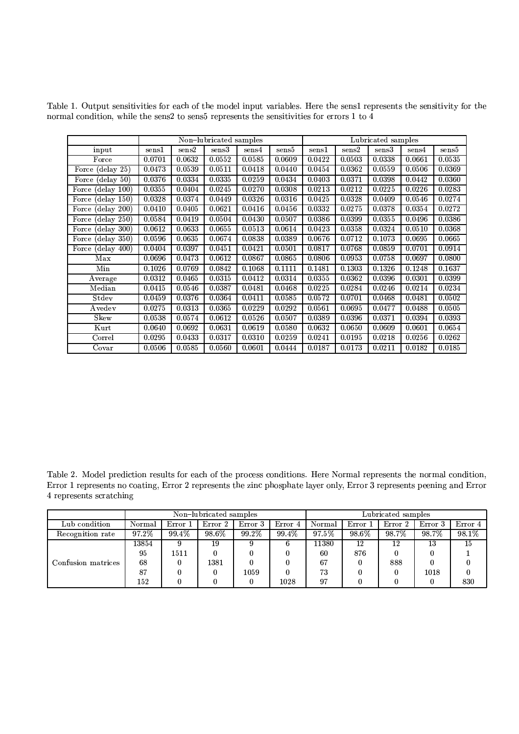|                                   | Non-lubricated samples |        |        |        |        | Lubricated samples |        |        |        |        |
|-----------------------------------|------------------------|--------|--------|--------|--------|--------------------|--------|--------|--------|--------|
| input                             | sens1                  | sens2  | sens3  | sens4  | sens5  | sens1              | sens2  | sens3  | sens4  | sens5  |
| Force                             | 0.0701                 | 0.0632 | 0.0552 | 0.0585 | 0.0609 | 0.0422             | 0.0503 | 0.0338 | 0.0661 | 0.0535 |
| Force $(delay 25)$                | 0.0473                 | 0.0539 | 0.0511 | 0.0418 | 0.0440 | 0.0454             | 0.0362 | 0.0559 | 0.0506 | 0.0369 |
| Force (delay 50)                  | 0.0376                 | 0.0334 | 0.0335 | 0.0259 | 0.0434 | 0.0403             | 0.0371 | 0.0398 | 0.0442 | 0.0360 |
| (delay 100)<br>Force              | 0.0355                 | 0.0404 | 0.0245 | 0.0270 | 0.0308 | 0.0213             | 0.0212 | 0.0225 | 0.0226 | 0.0283 |
| (delay 150)<br>Force (            | 0.0328                 | 0.0374 | 0.0449 | 0.0326 | 0.0316 | 0.0425             | 0.0328 | 0.0409 | 0.0546 | 0.0274 |
| Force (delay 200)                 | 0.0410                 | 0.0405 | 0.0621 | 0.0416 | 0.0456 | 0.0332             | 0.0275 | 0.0378 | 0.0354 | 0.0272 |
| $(\mathrm{delay}~250)$<br>Force ( | 0.0584                 | 0.0419 | 0.0504 | 0.0430 | 0.0507 | 0.0386             | 0.0399 | 0.0355 | 0.0496 | 0.0386 |
| (delay 300)<br>Force (            | 0.0612                 | 0.0633 | 0.0655 | 0.0513 | 0.0614 | 0.0423             | 0.0358 | 0.0324 | 0.0510 | 0.0368 |
| $(\text{delay } 350)$<br>Force    | 0.0596                 | 0.0635 | 0.0674 | 0.0838 | 0.0389 | 0.0676             | 0.0712 | 0.1073 | 0.0695 | 0.0665 |
| (delay 400)<br>Force (            | 0.0404                 | 0.0397 | 0.0451 | 0.0421 | 0.0501 | 0.0817             | 0.0768 | 0.0859 | 0.0701 | 0.0914 |
| Max                               | 0.0696                 | 0.0473 | 0.0612 | 0.0867 | 0.0865 | 0.0806             | 0.0953 | 0.0758 | 0.0697 | 0.0800 |
| Min                               | 0.1026                 | 0.0769 | 0.0842 | 0.1068 | 0.1111 | 0.1481             | 0.1303 | 0.1326 | 0.1248 | 0.1637 |
| Average                           | 0.0312                 | 0.0465 | 0.0315 | 0.0412 | 0.0314 | 0.0355             | 0.0362 | 0.0396 | 0.0301 | 0.0399 |
| Median                            | 0.0415                 | 0.0546 | 0.0387 | 0.0481 | 0.0468 | 0.0225             | 0.0284 | 0.0246 | 0.0214 | 0.0234 |
| Stdev                             | 0.0459                 | 0.0376 | 0.0364 | 0.0411 | 0.0585 | 0.0572             | 0.0701 | 0.0468 | 0.0481 | 0.0502 |
| Avedev                            | 0.0275                 | 0.0313 | 0.0365 | 0.0229 | 0.0292 | 0.0561             | 0.0695 | 0.0477 | 0.0488 | 0.0505 |
| Skew                              | 0.0538                 | 0.0574 | 0.0612 | 0.0526 | 0.0507 | 0.0389             | 0.0396 | 0.0371 | 0.0394 | 0.0393 |
| Kurt                              | 0.0640                 | 0.0692 | 0.0631 | 0.0619 | 0.0580 | 0.0632             | 0.0650 | 0.0609 | 0.0601 | 0.0654 |
| Correl                            | 0.0295                 | 0.0433 | 0.0317 | 0.0310 | 0.0259 | 0.0241             | 0.0195 | 0.0218 | 0.0256 | 0.0262 |
| Covar                             | 0.0506                 | 0.0585 | 0.0560 | 0.0601 | 0.0444 | 0.0187             | 0.0173 | 0.0211 | 0.0182 | 0.0185 |

Table 1. Output sensitivities for each of the model input variables. Here the sens1 represents the sensitivity for the normal condition, while the sens2 to sens5 represents the sensitivities for errors  $1$  to  $\overline{4}$ 

Table 2. Model prediction results for each of the process conditions. Here Normal represents the normal condition, Error 1 represents no coating, Error 2 represents the zinc phosphate layer only, Error 3 represents peening and Error 4 represents scratching

|                    | Non-lubricated samples |         |         |         |         | Lubricated samples |         |         |         |         |
|--------------------|------------------------|---------|---------|---------|---------|--------------------|---------|---------|---------|---------|
| Lub condition      | Normal                 | Error 1 | Error 2 | Error 3 | Error 4 | Normal             | Error 1 | Error 2 | Error 3 | Error 4 |
| Recognition rate   | 97.2%                  | 99.4%   | 98.6%   | 99.2%   | 99.4%   | 97.5%              | 98.6%   | 98.7%   | 98.7%   | 98.1%   |
| Confusion matrices | 13854                  | 9       | 19      | 9       |         | 11380              | 12      | 12      | 13      | 15      |
|                    | 95                     | 1511    |         |         |         | 60                 | 876     |         |         |         |
|                    | 68                     |         | 1381    |         |         | 67                 |         | 888     |         |         |
|                    | 87                     |         |         | 1059    |         | 73                 |         |         | 1018    |         |
|                    | 152                    |         |         |         | 1028    | 97                 |         |         |         | 830     |